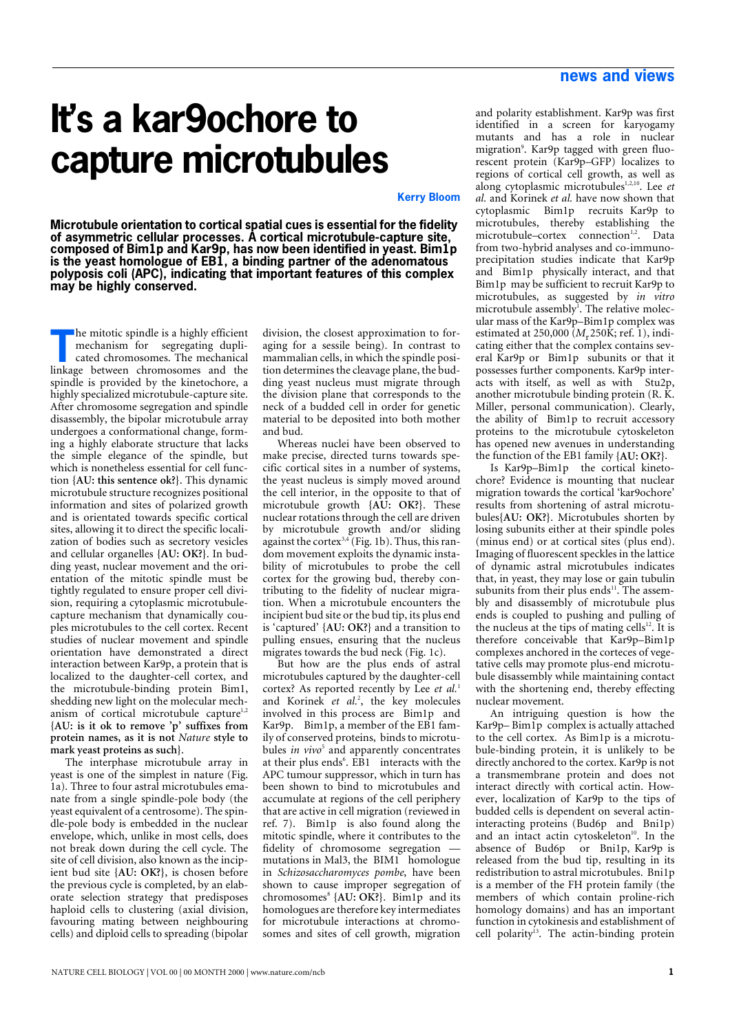## **news and views**

## **It's a kar9ochore to capture microtubules**

**Kerry Bloo[m](#page-1-1)**

**Microtubule orientation to cortical spatial cues is essential for the fidelity of asymmetric cellular processes. A cortical microtubule-capture site, composed of Bim1p and Kar9p, has now been identified in yeast. Bim1p is the yeast homologue of EB1, a binding partner of the adenomatous polyposis coli (APC), indicating that important features of this complex may be highly conserved.**

he mitotic spindle is a highly efficient mechanism for segregating duplicated chromosomes. The mechanical **Example 18 a highly efficient**<br>mechanism for segregating dupli-<br>cated chromosomes. The mechanical<br>linkage between chromosomes and the spindle is provided by the kinetochore, a highly specialized microtubule-capture site. After chromosome segregation and spindle disassembly, the bipolar microtubule array undergoes a conformational change, forming a highly elaborate structure that lacks the simple elegance of the spindle, but which is nonetheless essential for cell function **{AU: this sentence ok?}**. This dynamic microtubule structure recognizes positional information and sites of polarized growth and is orientated towards specific cortical sites, allowing it to direct the specific localization of bodies such as secretory vesicles and cellular organelles **{AU: OK?}**. In budding yeast, nuclear movement and the orientation of the mitotic spindle must be tightly regulated to ensure proper cell division, requiring a cytoplasmic microtubulecapture mechanism that dynamically couples microtubules to the cell cortex. Recent studies of nuclear movement and spindle orientation have demonstrated a direct interaction between Kar9p, a protein that is localized to the daughter-cell cortex, and the microtubule-binding protein Bim1, shedding new light on the molecular mechanism of cortical microtubule capture<sup>1,2</sup> **{AU: is it ok to remove 'p' suffixes from protein names, as it is not** *Nature* **style to mark yeast proteins as such}**.

The interphase microtubule array in yeast is one of the simplest in nature (Fig. 1a). Three to four astral microtubules emanate from a single spindle-pole body (the yeast equivalent of a centrosome). The spindle-pole body is embedded in the nuclear envelope, which, unlike in most cells, does not break down during the cell cycle. The site of cell division, also known as the incipient bud site **{AU: OK?}**, is chosen before the previous cycle is completed, by an elaborate selection strategy that predisposes haploid cells to clustering (axial division, favouring mating between neighbouring cells) and diploid cells to spreading (bipolar

division, the closest approximation to foraging for a sessile being). In contrast to mammalian cells, in which the spindle position determines the cleavage plane, the budding yeast nucleus must migrate through the division plane that corresponds to the neck of a budded cell in order for genetic material to be deposited into both mother and bud.

Whereas nuclei have been observed to make precise, directed turns towards specific cortical sites in a number of systems, the yeast nucleus is simply moved around the cell interior, in the opposite to that of microtubule growth **{AU: OK?}**. These nuclear rotations through the cell are driven by microtubule growth and/or sliding against the cortex<sup>3,4</sup> (Fig. 1b). Thus, this random movement exploits the dynamic instability of microtubules to probe the cell cortex for the growing bud, thereby contributing to the fidelity of nuclear migration. When a microtubule encounters the incipient bud site or the bud tip, its plus end is 'captured' **{AU: OK?}** and a transition to pulling ensues, ensuring that the nucleus migrates towards the bud neck (Fig. 1c).

But how are the plus ends of astral microtubules captured by the daughter-cell cortex? As reported recently by Lee *et al.*<sup>1</sup> and Korinek *et al.*<sup>2</sup> , the key molecules involved in this process are Bim1p and Kar9p. Bim1p, a member of the EB1 family of conserved proteins, binds to microtubules *in vivo*<sup>5</sup> and apparently concentrates at their plus ends<sup>6</sup>. EB1 interacts with the APC tumour suppressor, which in turn has been shown to bind to microtubules and accumulate at regions of the cell periphery that are active in cell migration (reviewed in [ref. 7](#page-2-0)). Bim1p is also found along the mitotic spindle, where it contributes to the fidelity of chromosome segregation mutations in Mal3, the BIM1 homologue in *Schizosaccharomyces pombe*, have been shown to cause improper segregation of chromosomes<sup>8</sup> {AU: OK?}. Bim1p and its homologues are therefore key intermediates for microtubule interactions at chromosomes and sites of cell growth, migration

and polarity establishment. Kar9p was first identified in a screen for karyogamy mutants and has a role in nuclear migration<sup>9</sup>. Kar9p tagged with green fluorescent protein (Kar9p–GFP) localizes to regions of cortical cell growth, as well as along cytoplasmic microtubules<sup>1,2,10</sup>. Lee et *al.* and Korinek *et al.* have now shown that cytoplasmic Bim1p recruits Kar9p to microtubules, thereby establishing the microtubule–cortex connection<sup>1,2</sup>. Data from two-hybrid analyses and co-immunoprecipitation studies indicate that Kar9p and Bim1p physically interact, and that Bim1p may be sufficient to recruit Kar9p to microtubules, as suggested by *in vitro* microtubule assembly<sup>1</sup>. The relative molecular mass of the Kar9p–Bim1p complex was estimated at 250,000 (*M*r250K; [ref. 1\)](#page-1-0), indicating either that the complex contains several Kar9p or Bim1p subunits or that it possesses further components. Kar9p interacts with itself, as well as with Stu2p, another microtubule binding protein (R. K. Miller, personal communication). Clearly, the ability of Bim1p to recruit accessory proteins to the microtubule cytoskeleton has opened new avenues in understanding the function of the EB1 family **{AU: OK?}**.

Is Kar9p–Bim1p the cortical kinetochore? Evidence is mounting that nuclear migration towards the cortical 'kar9ochore' results from shortening of astral microtubules**{AU: OK?}**. Microtubules shorten by losing subunits either at their spindle poles (minus end) or at cortical sites (plus end). Imaging of fluorescent speckles in the lattice of dynamic astral microtubules indicates that, in yeast, they may lose or gain tubulin subunits from their plus ends<sup>11</sup>. The assembly and disassembly of microtubule plus ends is coupled to pushing and pulling of the nucleus at the tips of mating cells $12$ . It is therefore conceivable that Kar9p–Bim1p complexes anchored in the corteces of vegetative cells may promote plus-end microtubule disassembly while maintaining contact with the shortening end, thereby effecting nuclear movement.

An intriguing question is how the Kar9p– Bim1p complex is actually attached to the cell cortex. As Bim1p is a microtubule-binding protein, it is unlikely to be directly anchored to the cortex. Kar9p is not a transmembrane protein and does not interact directly with cortical actin. However, localization of Kar9p to the tips of budded cells is dependent on several actininteracting proteins (Bud6p and Bni1p) and an intact actin cytoskeleton<sup>10</sup>. In the absence of Bud6p or Bni1p, Kar9p is released from the bud tip, resulting in its redistribution to astral microtubules. Bni1p is a member of the FH protein family (the members of which contain proline-rich homology domains) and has an important function in cytokinesis and establishment of cell polarity<sup>13</sup>. The actin-binding protein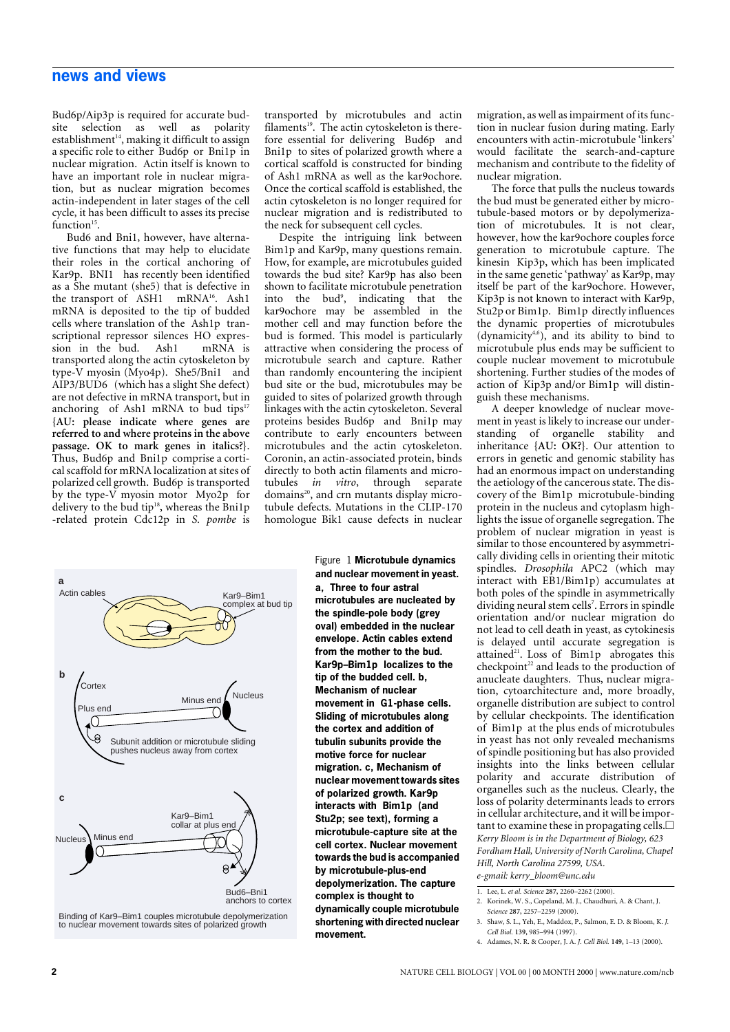## **news and views**

Bud6p/Aip3p is required for accurate budsite selection as well as polarity establishment $14$ , making it difficult to assign a specific role to either Bud6p or Bni1p in nuclear migration. Actin itself is known to have an important role in nuclear migration, but as nuclear migration becomes actin-independent in later stages of the cell cycle, it has been difficult to asses its precise function $15$ .

Bud6 and Bni1, however, have alternative functions that may help to elucidate their roles in the cortical anchoring of Kar9p. BNI1 has recently been identified as a She mutant (she5) that is defective in the transport of ASH1 mRNA<sup>16</sup>. Ash1 mRNA is deposited to the tip of budded cells where translation of the Ash1p transcriptional repressor silences HO expres-<br>sion in the bud. Ash1 mRNA is sion in the bud. transported along the actin cytoskeleton by type-V myosin (Myo4p). She5/Bni1 and AIP3/BUD6 (which has a slight She defect) are not defective in mRNA transport, but in anchoring of Ash1 mRNA to bud tips<sup>17</sup> **{AU: please indicate where genes are referred to and where proteins in the above passage. OK to mark genes in italics?}**. Thus, Bud6p and Bni1p comprise a cortical scaffold for mRNA localization at sites of polarized cell growth. Bud6p is transported by the type-V myosin motor Myo2p for delivery to the bud tip<sup>18</sup>, whereas the Bni1p -related protein Cdc12p in *S. pombe* is



Binding of Kar9–Bim1 couples microtubule depolymerization to nuclear movement towards sites of polarized growth

transported by microtubules and actin filaments<sup>19</sup>. The actin cytoskeleton is therefore essential for delivering Bud6p and Bni1p to sites of polarized growth where a cortical scaffold is constructed for binding of Ash1 mRNA as well as the kar9ochore. Once the cortical scaffold is established, the actin cytoskeleton is no longer required for nuclear migration and is redistributed to the neck for subsequent cell cycles.

Despite the intriguing link between Bim1p and Kar9p, many questions remain. How, for example, are microtubules guided towards the bud site? Kar9p has also been shown to facilitate microtubule penetration into the bud<sup>9</sup>, indicating that the kar9ochore may be assembled in the mother cell and may function before the bud is formed. This model is particularly attractive when considering the process of microtubule search and capture. Rather than randomly encountering the incipient bud site or the bud, microtubules may be guided to sites of polarized growth through linkages with the actin cytoskeleton. Several proteins besides Bud6p and Bni1p may contribute to early encounters between microtubules and the actin cytoskeleton. Coronin, an actin-associated protein, binds directly to both actin filaments and microtubules *in vitro*, through separate domains<sup>20</sup>, and crn mutants display microtubule defects. Mutations in the CLIP-170 homologue Bik1 cause defects in nuclear

> Figure 1 **Microtubule dynamics and nuclear movement in yeast. a, Three to four astral microtubules are nucleated by the spindle-pole body (grey oval) embedded in the nuclear envelope. Actin cables extend from the mother to the bud. Kar9p–Bim1p localizes to the tip of the budded cell. b, Mechanism of nuclear movement in G1-phase cells. Sliding of microtubules along the cortex and addition of tubulin subunits provide the motive force for nuclear migration. c, Mechanism of nuclear movement towards sites of polarized growth. Kar9p interacts with Bim1p (and Stu2p; see text), forming a microtubule-capture site at the cell cortex. Nuclear movement towards the bud is accompanied by microtubule-plus-end depolymerization. The capture complex is thought to dynamically couple microtubule shortening with directed nuclear movement.**

migration, as well as impairment of its function in nuclear fusion during mating. Early encounters with actin-microtubule 'linkers' would facilitate the search-and-capture mechanism and contribute to the fidelity of nuclear migration.

The force that pulls the nucleus towards the bud must be generated either by microtubule-based motors or by depolymerization of microtubules. It is not clear, however, how the kar9ochore couples force generation to microtubule capture. The kinesin Kip3p, which has been implicated in the same genetic 'pathway' as Kar9p, may itself be part of the kar9ochore. However, Kip3p is not known to interact with Kar9p, Stu2p or Bim1p. Bim1p directly influences the dynamic properties of microtubules  $(dynamicity<sup>4,6</sup>)$ , and its ability to bind to microtubule plus ends may be sufficient to couple nuclear movement to microtubule shortening. Further studies of the modes of action of Kip3p and/or Bim1p will distinguish these mechanisms.

A deeper knowledge of nuclear movement in yeast is likely to increase our understanding of organelle stability and inheritance **{AU: OK?}**. Our attention to errors in genetic and genomic stability has had an enormous impact on understanding the aetiology of the cancerous state. The discovery of the Bim1p microtubule-binding protein in the nucleus and cytoplasm highlights the issue of organelle segregation. The problem of nuclear migration in yeast is similar to those encountered by asymmetrically dividing cells in orienting their mitotic spindles. *Drosophila* APC2 (which may interact with EB1/Bim1p) accumulates at both poles of the spindle in asymmetrically dividing neural stem cells<sup>7</sup>. Errors in spindle orientation and/or nuclear migration do not lead to cell death in yeast, as cytokinesis is delayed until accurate segregation is attained<sup>21</sup>. Loss of  $Bim1p$  abrogates this  $checkpoint<sup>22</sup>$  and leads to the production of anucleate daughters. Thus, nuclear migration, cytoarchitecture and, more broadly, organelle distribution are subject to control by cellular checkpoints. The identification of Bim1p at the plus ends of microtubules in yeast has not only revealed mechanisms of spindle positioning but has also provided insights into the links between cellular polarity and accurate distribution of organelles such as the nucleus. Clearly, the loss of polarity determinants leads to errors in cellular architecture, and it will be important to examine these in propagating cells. $\Box$ *Kerry Bloom is in the Department of Biology, 623 Fordham Hall, University of North Carolina, Chapel Hill, North Carolina 27599, USA.*

- <span id="page-1-0"></span>1. Lee, L. *et al. Science* **287,** 2260–2262 (2000).
- 2. Korinek, W. S., Copeland, M. J., Chaudhuri, A. & Chant, J. *Science* **287,** 2257–2259 (2000).

4. Adames, N. R. & Cooper, J. A. *J. Cell Biol.* **149,** 1–13 (2000).

<span id="page-1-1"></span>*e-gmail: kerry\_bloom@unc.edu*

<sup>3.</sup> Shaw, S. L., Yeh, E., Maddox, P., Salmon, E. D. & Bloom, K. *J. Cell Biol.* **139,** 985–994 (1997).